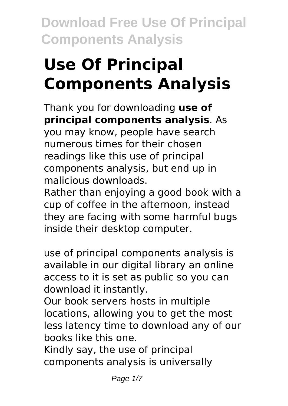# **Use Of Principal Components Analysis**

Thank you for downloading **use of principal components analysis**. As you may know, people have search

numerous times for their chosen readings like this use of principal components analysis, but end up in malicious downloads.

Rather than enjoying a good book with a cup of coffee in the afternoon, instead they are facing with some harmful bugs inside their desktop computer.

use of principal components analysis is available in our digital library an online access to it is set as public so you can download it instantly.

Our book servers hosts in multiple locations, allowing you to get the most less latency time to download any of our books like this one.

Kindly say, the use of principal components analysis is universally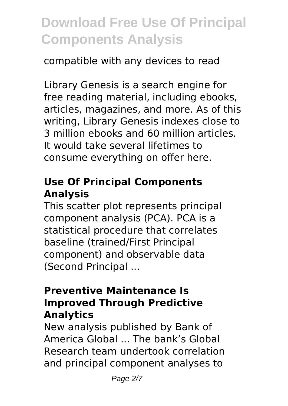# compatible with any devices to read

Library Genesis is a search engine for free reading material, including ebooks, articles, magazines, and more. As of this writing, Library Genesis indexes close to 3 million ebooks and 60 million articles. It would take several lifetimes to consume everything on offer here.

# **Use Of Principal Components Analysis**

This scatter plot represents principal component analysis (PCA). PCA is a statistical procedure that correlates baseline (trained/First Principal component) and observable data (Second Principal ...

#### **Preventive Maintenance Is Improved Through Predictive Analytics**

New analysis published by Bank of America Global ... The bank's Global Research team undertook correlation and principal component analyses to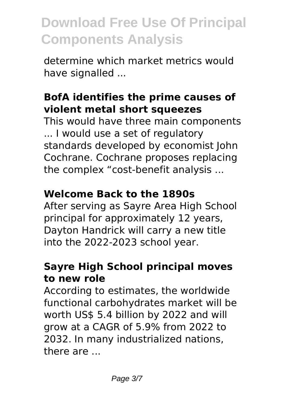determine which market metrics would have signalled ...

# **BofA identifies the prime causes of violent metal short squeezes**

This would have three main components ... I would use a set of regulatory standards developed by economist John Cochrane. Cochrane proposes replacing the complex "cost-benefit analysis ...

# **Welcome Back to the 1890s**

After serving as Sayre Area High School principal for approximately 12 years, Dayton Handrick will carry a new title into the 2022-2023 school year.

# **Sayre High School principal moves to new role**

According to estimates, the worldwide functional carbohydrates market will be worth US\$ 5.4 billion by 2022 and will grow at a CAGR of 5.9% from 2022 to 2032. In many industrialized nations, there are ...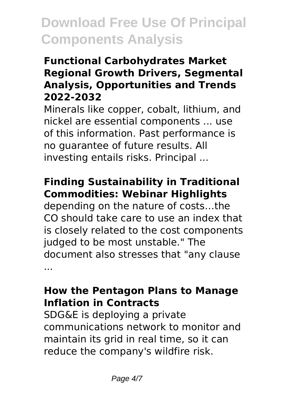# **Functional Carbohydrates Market Regional Growth Drivers, Segmental Analysis, Opportunities and Trends 2022-2032**

Minerals like copper, cobalt, lithium, and nickel are essential components ... use of this information. Past performance is no guarantee of future results. All investing entails risks. Principal ...

# **Finding Sustainability in Traditional Commodities: Webinar Highlights**

depending on the nature of costs…the CO should take care to use an index that is closely related to the cost components judged to be most unstable." The document also stresses that "any clause ...

### **How the Pentagon Plans to Manage Inflation in Contracts**

SDG&E is deploying a private communications network to monitor and maintain its grid in real time, so it can reduce the company's wildfire risk.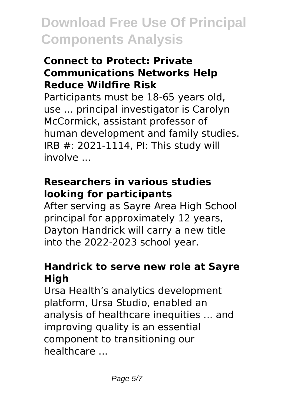## **Connect to Protect: Private Communications Networks Help Reduce Wildfire Risk**

Participants must be 18-65 years old, use ... principal investigator is Carolyn McCormick, assistant professor of human development and family studies. IRB #: 2021-1114, PI: This study will involve ...

# **Researchers in various studies looking for participants**

After serving as Sayre Area High School principal for approximately 12 years, Dayton Handrick will carry a new title into the 2022-2023 school year.

# **Handrick to serve new role at Sayre High**

Ursa Health's analytics development platform, Ursa Studio, enabled an analysis of healthcare inequities ... and improving quality is an essential component to transitioning our healthcare ...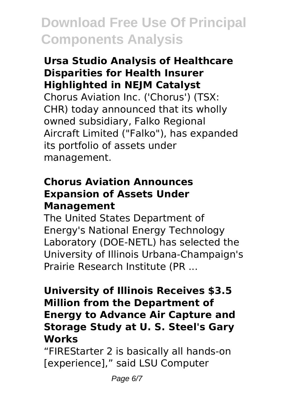#### **Ursa Studio Analysis of Healthcare Disparities for Health Insurer Highlighted in NEJM Catalyst**

Chorus Aviation Inc. ('Chorus') (TSX: CHR) today announced that its wholly owned subsidiary, Falko Regional Aircraft Limited ("Falko"), has expanded its portfolio of assets under management.

### **Chorus Aviation Announces Expansion of Assets Under Management**

The United States Department of Energy's National Energy Technology Laboratory (DOE-NETL) has selected the University of Illinois Urbana-Champaign's Prairie Research Institute (PR ...

#### **University of Illinois Receives \$3.5 Million from the Department of Energy to Advance Air Capture and Storage Study at U. S. Steel's Gary Works**

"FIREStarter 2 is basically all hands-on [experience]," said LSU Computer